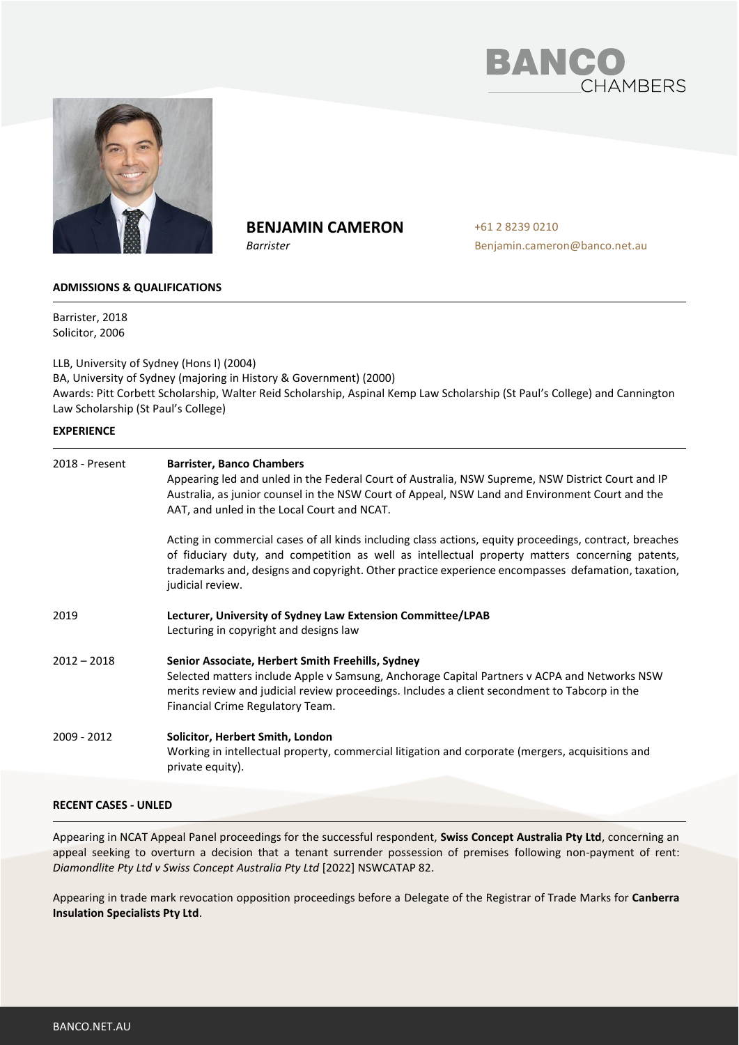



# **BENJAMIN CAMERON**

*Barrister*

+61 2 8239 0210 Benjamin.cameron@banco.net.au

# **ADMISSIONS & QUALIFICATIONS**

Barrister, 2018 Solicitor, 2006

LLB, University of Sydney (Hons I) (2004) BA, University of Sydney (majoring in History & Government) (2000) Awards: Pitt Corbett Scholarship, Walter Reid Scholarship, Aspinal Kemp Law Scholarship (St Paul's College) and Cannington Law Scholarship (St Paul's College)

## **EXPERIENCE**

| 2018 - Present | <b>Barrister, Banco Chambers</b><br>Appearing led and unled in the Federal Court of Australia, NSW Supreme, NSW District Court and IP<br>Australia, as junior counsel in the NSW Court of Appeal, NSW Land and Environment Court and the<br>AAT, and unled in the Local Court and NCAT.                                              |
|----------------|--------------------------------------------------------------------------------------------------------------------------------------------------------------------------------------------------------------------------------------------------------------------------------------------------------------------------------------|
|                | Acting in commercial cases of all kinds including class actions, equity proceedings, contract, breaches<br>of fiduciary duty, and competition as well as intellectual property matters concerning patents,<br>trademarks and, designs and copyright. Other practice experience encompasses defamation, taxation,<br>judicial review. |
| 2019           | Lecturer, University of Sydney Law Extension Committee/LPAB<br>Lecturing in copyright and designs law                                                                                                                                                                                                                                |
| $2012 - 2018$  | Senior Associate, Herbert Smith Freehills, Sydney<br>Selected matters include Apple v Samsung, Anchorage Capital Partners v ACPA and Networks NSW<br>merits review and judicial review proceedings. Includes a client secondment to Tabcorp in the<br>Financial Crime Regulatory Team.                                               |
| 2009 - 2012    | Solicitor, Herbert Smith, London<br>Working in intellectual property, commercial litigation and corporate (mergers, acquisitions and<br>private equity).                                                                                                                                                                             |
|                |                                                                                                                                                                                                                                                                                                                                      |

# **RECENT CASES - UNLED**

Appearing in NCAT Appeal Panel proceedings for the successful respondent, **Swiss Concept Australia Pty Ltd**, concerning an appeal seeking to overturn a decision that a tenant surrender possession of premises following non-payment of rent: *Diamondlite Pty Ltd v Swiss Concept Australia Pty Ltd* [2022] NSWCATAP 82.

Appearing in trade mark revocation opposition proceedings before a Delegate of the Registrar of Trade Marks for **Canberra Insulation Specialists Pty Ltd**.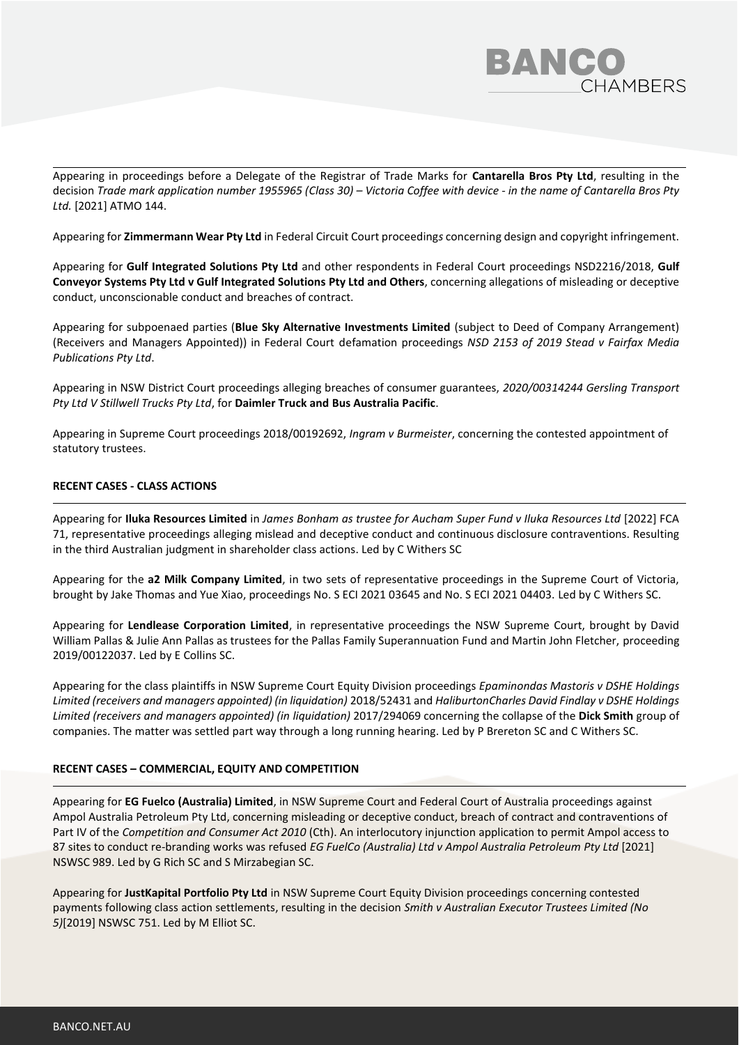

Appearing in proceedings before a Delegate of the Registrar of Trade Marks for **Cantarella Bros Pty Ltd**, resulting in the decision *Trade mark application number 1955965 (Class 30) – Victoria Coffee with device - in the name of Cantarella Bros Pty Ltd.* [2021] ATMO 144.

Appearing for **Zimmermann Wear Pty Ltd** in Federal Circuit Court proceeding*s* concerning design and copyright infringement.

Appearing for **Gulf Integrated Solutions Pty Ltd** and other respondents in Federal Court proceedings NSD2216/2018, **Gulf Conveyor Systems Pty Ltd v Gulf Integrated Solutions Pty Ltd and Others**, concerning allegations of misleading or deceptive conduct, unconscionable conduct and breaches of contract.

Appearing for subpoenaed parties (**Blue Sky Alternative Investments Limited** (subject to Deed of Company Arrangement) (Receivers and Managers Appointed)) in Federal Court defamation proceedings *NSD 2153 of 2019 Stead v Fairfax Media Publications Pty Ltd*.

Appearing in NSW District Court proceedings alleging breaches of consumer guarantees, *2020/00314244 Gersling Transport Pty Ltd V Stillwell Trucks Pty Ltd*, for **Daimler Truck and Bus Australia Pacific**.

Appearing in Supreme Court proceedings 2018/00192692, *Ingram v Burmeister*, concerning the contested appointment of statutory trustees.

## **RECENT CASES - CLASS ACTIONS**

Appearing for **Iluka Resources Limited** in *James Bonham as trustee for Aucham Super Fund v Iluka Resources Ltd* [2022] FCA 71, representative proceedings alleging mislead and deceptive conduct and continuous disclosure contraventions. Resulting in the third Australian judgment in shareholder class actions. Led by C Withers SC

Appearing for the **a2 Milk Company Limited**, in two sets of representative proceedings in the Supreme Court of Victoria, brought by Jake Thomas and Yue Xiao, proceedings No. S ECI 2021 03645 and No. S ECI 2021 04403. Led by C Withers SC.

Appearing for **Lendlease Corporation Limited**, in representative proceedings the NSW Supreme Court, brought by David William Pallas & Julie Ann Pallas as trustees for the Pallas Family Superannuation Fund and Martin John Fletcher, proceeding 2019/00122037. Led by E Collins SC.

Appearing for the class plaintiffs in NSW Supreme Court Equity Division proceedings *Epaminondas Mastoris v DSHE Holdings Limited (receivers and managers appointed) (in liquidation)* 2018/52431 and *HaliburtonCharles David Findlay v DSHE Holdings Limited (receivers and managers appointed) (in liquidation)* 2017/294069 concerning the collapse of the **Dick Smith** group of companies. The matter was settled part way through a long running hearing. Led by P Brereton SC and C Withers SC.

#### **RECENT CASES – COMMERCIAL, EQUITY AND COMPETITION**

Appearing for **EG Fuelco (Australia) Limited**, in NSW Supreme Court and Federal Court of Australia proceedings against Ampol Australia Petroleum Pty Ltd, concerning misleading or deceptive conduct, breach of contract and contraventions of Part IV of the *Competition and Consumer Act 2010* (Cth). An interlocutory injunction application to permit Ampol access to 87 sites to conduct re-branding works was refused *EG FuelCo (Australia) Ltd v Ampol Australia Petroleum Pty Ltd* [2021] NSWSC 989. Led by G Rich SC and S Mirzabegian SC.

Appearing for **JustKapital Portfolio Pty Ltd** in NSW Supreme Court Equity Division proceedings concerning contested payments following class action settlements, resulting in the decision *Smith v Australian Executor Trustees Limited (No 5)*[2019] NSWSC 751. Led by M Elliot SC.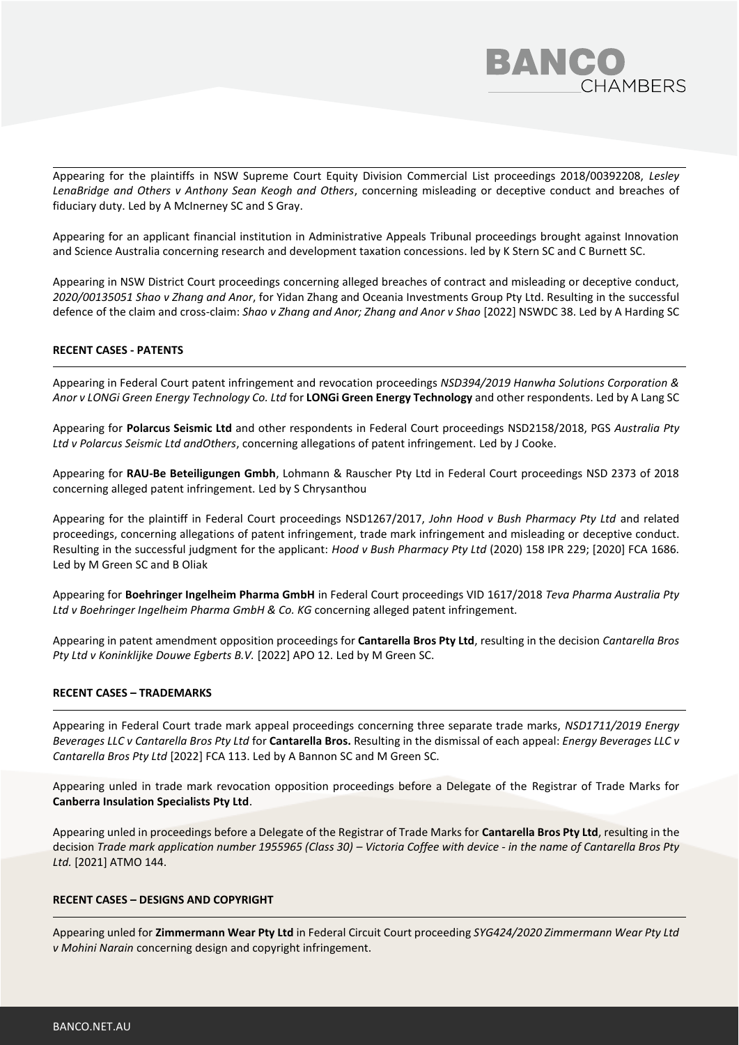

Appearing for the plaintiffs in NSW Supreme Court Equity Division Commercial List proceedings 2018/00392208, *Lesley LenaBridge and Others v Anthony Sean Keogh and Others*, concerning misleading or deceptive conduct and breaches of fiduciary duty. Led by A McInerney SC and S Gray.

Appearing for an applicant financial institution in Administrative Appeals Tribunal proceedings brought against Innovation and Science Australia concerning research and development taxation concessions. led by K Stern SC and C Burnett SC.

Appearing in NSW District Court proceedings concerning alleged breaches of contract and misleading or deceptive conduct, *2020/00135051 Shao v Zhang and Anor*, for Yidan Zhang and Oceania Investments Group Pty Ltd. Resulting in the successful defence of the claim and cross-claim: *Shao v Zhang and Anor; Zhang and Anor v Shao* [2022] NSWDC 38. Led by A Harding SC

# **RECENT CASES - PATENTS**

Appearing in Federal Court patent infringement and revocation proceedings *NSD394/2019 Hanwha Solutions Corporation & Anor v LONGi Green Energy Technology Co. Ltd* for **LONGi Green Energy Technology** and other respondents. Led by A Lang SC

Appearing for **Polarcus Seismic Ltd** and other respondents in Federal Court proceedings NSD2158/2018, PGS *Australia Pty Ltd v Polarcus Seismic Ltd andOthers*, concerning allegations of patent infringement. Led by J Cooke.

Appearing for **RAU-Be Beteiligungen Gmbh**, Lohmann & Rauscher Pty Ltd in Federal Court proceedings NSD 2373 of 2018 concerning alleged patent infringement. Led by S Chrysanthou

Appearing for the plaintiff in Federal Court proceedings NSD1267/2017, *John Hood v Bush Pharmacy Pty Ltd* and related proceedings, concerning allegations of patent infringement, trade mark infringement and misleading or deceptive conduct. Resulting in the successful judgment for the applicant: *Hood v Bush Pharmacy Pty Ltd* (2020) 158 IPR 229; [2020] FCA 1686. Led by M Green SC and B Oliak

Appearing for **Boehringer Ingelheim Pharma GmbH** in Federal Court proceedings VID 1617/2018 *Teva Pharma Australia Pty Ltd v Boehringer Ingelheim Pharma GmbH & Co. KG* concerning alleged patent infringement.

Appearing in patent amendment opposition proceedings for **Cantarella Bros Pty Ltd**, resulting in the decision *Cantarella Bros Pty Ltd v Koninklijke Douwe Egberts B.V.* [2022] APO 12. Led by M Green SC.

#### **RECENT CASES – TRADEMARKS**

Appearing in Federal Court trade mark appeal proceedings concerning three separate trade marks, *NSD1711/2019 Energy Beverages LLC v Cantarella Bros Pty Ltd* for **Cantarella Bros.** Resulting in the dismissal of each appeal: *Energy Beverages LLC v Cantarella Bros Pty Ltd* [2022] FCA 113. Led by A Bannon SC and M Green SC.

Appearing unled in trade mark revocation opposition proceedings before a Delegate of the Registrar of Trade Marks for **Canberra Insulation Specialists Pty Ltd**.

Appearing unled in proceedings before a Delegate of the Registrar of Trade Marks for **Cantarella Bros Pty Ltd**, resulting in the decision *Trade mark application number 1955965 (Class 30) – Victoria Coffee with device - in the name of Cantarella Bros Pty Ltd.* [2021] ATMO 144.

#### **RECENT CASES – DESIGNS AND COPYRIGHT**

Appearing unled for **Zimmermann Wear Pty Ltd** in Federal Circuit Court proceeding *SYG424/2020 Zimmermann Wear Pty Ltd v Mohini Narain* concerning design and copyright infringement.